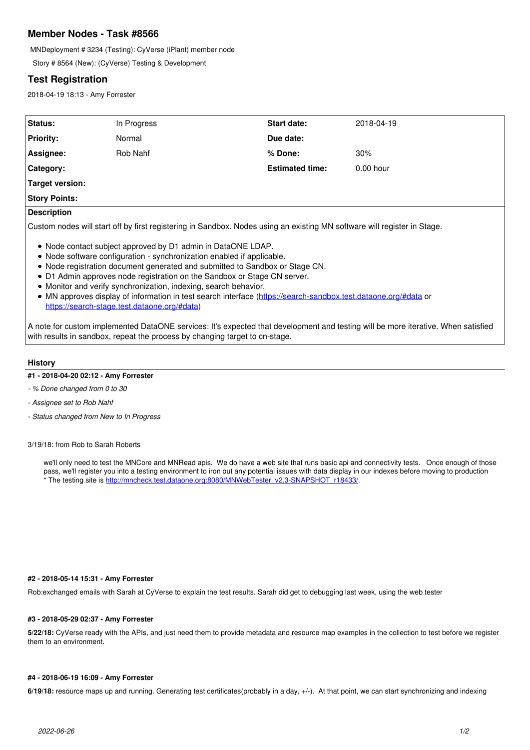# **Member Nodes - Task #8566**

MNDeployment # 3234 (Testing): CyVerse (iPlant) member node

Story # 8564 (New): (CyVerse) Testing & Development

# **Test Registration**

2018-04-19 18:13 - Amy Forrester

| Status:              | In Progress | <b>Start date:</b>     | 2018-04-19  |
|----------------------|-------------|------------------------|-------------|
| <b>Priority:</b>     | Normal      | Due date:              |             |
| Assignee:            | Rob Nahf    | l% Done:               | 30%         |
| Category:            |             | <b>Estimated time:</b> | $0.00$ hour |
| Target version:      |             |                        |             |
| <b>Story Points:</b> |             |                        |             |
|                      |             |                        |             |

# **Description**

Custom nodes will start off by first registering in Sandbox. Nodes using an existing MN software will register in Stage.

- Node contact subject approved by D1 admin in DataONE LDAP.
- Node software configuration synchronization enabled if applicable.
- Node registration document generated and submitted to Sandbox or Stage CN.
- D1 Admin approves node registration on the Sandbox or Stage CN server.
- Monitor and verify synchronization, indexing, search behavior.
- MN approves display of information in test search interface (<https://search-sandbox.test.dataone.org/#data> or [https://search-stage.test.dataone.org/#data\)](https://search-stage.test.dataone.org/#data)

A note for custom implemented DataONE services: It's expected that development and testing will be more iterative. When satisfied with results in sandbox, repeat the process by changing target to cn-stage.

# **History**

# **#1 - 2018-04-20 02:12 - Amy Forrester**

- *% Done changed from 0 to 30*
- *Assignee set to Rob Nahf*
- *Status changed from New to In Progress*

#### 3/19/18: from Rob to Sarah Roberts

we'll only need to test the MNCore and MNRead apis. We do have a web site that runs basic api and connectivity tests. Once enough of those pass, we'll register you into a testing environment to iron out any potential issues with data display in our indexes before moving to production The testing site is [http://mncheck.test.dataone.org:8080/MNWebTester\\_v2.3-SNAPSHOT\\_r18433/](http://mncheck.test.dataone.org:8080/MNWebTester_v2.3-SNAPSHOT_r18433/).

# **#2 - 2018-05-14 15:31 - Amy Forrester**

Rob:exchanged emails with Sarah at CyVerse to explain the test results. Sarah did get to debugging last week, using the web tester

# **#3 - 2018-05-29 02:37 - Amy Forrester**

**5/22/18:** CyVerse ready with the APIs, and just need them to provide metadata and resource map examples in the collection to test before we register them to an environment.

#### **#4 - 2018-06-19 16:09 - Amy Forrester**

**6/19/18:** resource maps up and running. Generating test certificates(probably in a day, +/-). At that point, we can start synchronizing and indexing